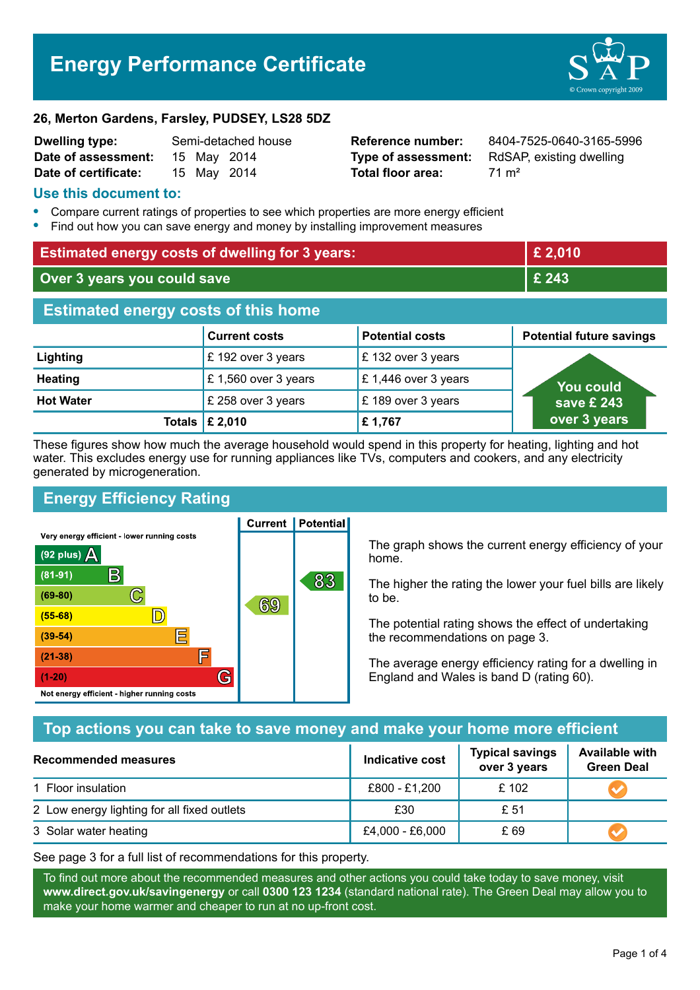# **Energy Performance Certificate**



#### **26, Merton Gardens, Farsley, PUDSEY, LS28 5DZ**

| <b>Dwelling type:</b> | Semi-detached house |             |  |
|-----------------------|---------------------|-------------|--|
| Date of assessment:   |                     | 15 May 2014 |  |
| Date of certificate:  |                     | 15 May 2014 |  |

# **Total floor area:** 71 m<sup>2</sup>

**Reference number:** 8404-7525-0640-3165-5996 **Type of assessment:** RdSAP, existing dwelling

#### **Use this document to:**

- **•** Compare current ratings of properties to see which properties are more energy efficient
- **•** Find out how you can save energy and money by installing improvement measures

| <b>Estimated energy costs of dwelling for 3 years:</b> |                                 |                        | £ 2,010                         |  |
|--------------------------------------------------------|---------------------------------|------------------------|---------------------------------|--|
| Over 3 years you could save                            |                                 | £ 243                  |                                 |  |
| <b>Estimated energy costs of this home</b>             |                                 |                        |                                 |  |
|                                                        | <b>Current costs</b>            | <b>Potential costs</b> | <b>Potential future savings</b> |  |
| Lighting                                               | £ 192 over 3 years              | £132 over 3 years      |                                 |  |
| <b>Heating</b>                                         | £ 1,560 over 3 years            | £1,446 over 3 years    | <b>You could</b>                |  |
| <b>Hot Water</b>                                       | £ 258 over 3 years              | £189 over 3 years      | save £ 243                      |  |
|                                                        | Totals $\mathbf \epsilon$ 2,010 | £1,767                 | over 3 years                    |  |

These figures show how much the average household would spend in this property for heating, lighting and hot water. This excludes energy use for running appliances like TVs, computers and cookers, and any electricity generated by microgeneration.

**Current | Potential** 

# **Energy Efficiency Rating**

Very energy efficient - lower running costs



The graph shows the current energy efficiency of your home.

The higher the rating the lower your fuel bills are likely to be.

The potential rating shows the effect of undertaking the recommendations on page 3.

The average energy efficiency rating for a dwelling in England and Wales is band D (rating 60).

# **Top actions you can take to save money and make your home more efficient**

| Recommended measures                        | Indicative cost | <b>Typical savings</b><br>over 3 years | <b>Available with</b><br><b>Green Deal</b> |  |
|---------------------------------------------|-----------------|----------------------------------------|--------------------------------------------|--|
| 1 Floor insulation                          | £800 - £1,200   | £102                                   |                                            |  |
| 2 Low energy lighting for all fixed outlets | £30             | £ 51                                   |                                            |  |
| 3 Solar water heating                       | £4,000 - £6,000 | £ 69                                   |                                            |  |

See page 3 for a full list of recommendations for this property.

To find out more about the recommended measures and other actions you could take today to save money, visit **www.direct.gov.uk/savingenergy** or call **0300 123 1234** (standard national rate). The Green Deal may allow you to make your home warmer and cheaper to run at no up-front cost.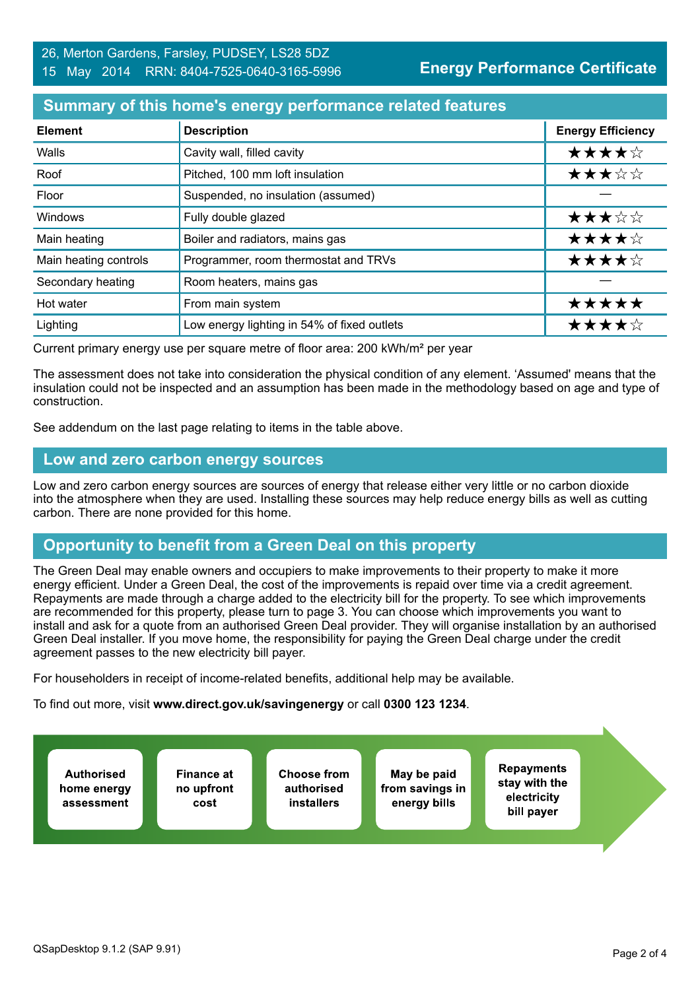## **Summary of this home's energy performance related features**

| <b>Element</b>        | <b>Description</b>                          | <b>Energy Efficiency</b> |
|-----------------------|---------------------------------------------|--------------------------|
| Walls                 | Cavity wall, filled cavity                  | ★★★★☆                    |
| Roof                  | Pitched, 100 mm loft insulation             | ★★★☆☆                    |
| Floor                 | Suspended, no insulation (assumed)          |                          |
| <b>Windows</b>        | Fully double glazed                         | ★★★☆☆                    |
| Main heating          | Boiler and radiators, mains gas             | ★★★★☆                    |
| Main heating controls | Programmer, room thermostat and TRVs        | ★★★★☆                    |
| Secondary heating     | Room heaters, mains gas                     |                          |
| Hot water             | From main system                            | *****                    |
| Lighting              | Low energy lighting in 54% of fixed outlets | ★★★★☆                    |

Current primary energy use per square metre of floor area: 200 kWh/m² per year

The assessment does not take into consideration the physical condition of any element. 'Assumed' means that the insulation could not be inspected and an assumption has been made in the methodology based on age and type of construction.

See addendum on the last page relating to items in the table above.

#### **Low and zero carbon energy sources**

Low and zero carbon energy sources are sources of energy that release either very little or no carbon dioxide into the atmosphere when they are used. Installing these sources may help reduce energy bills as well as cutting carbon. There are none provided for this home.

# **Opportunity to benefit from a Green Deal on this property**

The Green Deal may enable owners and occupiers to make improvements to their property to make it more energy efficient. Under a Green Deal, the cost of the improvements is repaid over time via a credit agreement. Repayments are made through a charge added to the electricity bill for the property. To see which improvements are recommended for this property, please turn to page 3. You can choose which improvements you want to install and ask for a quote from an authorised Green Deal provider. They will organise installation by an authorised Green Deal installer. If you move home, the responsibility for paying the Green Deal charge under the credit agreement passes to the new electricity bill payer.

For householders in receipt of income-related benefits, additional help may be available.

To find out more, visit **www.direct.gov.uk/savingenergy** or call **0300 123 1234**.

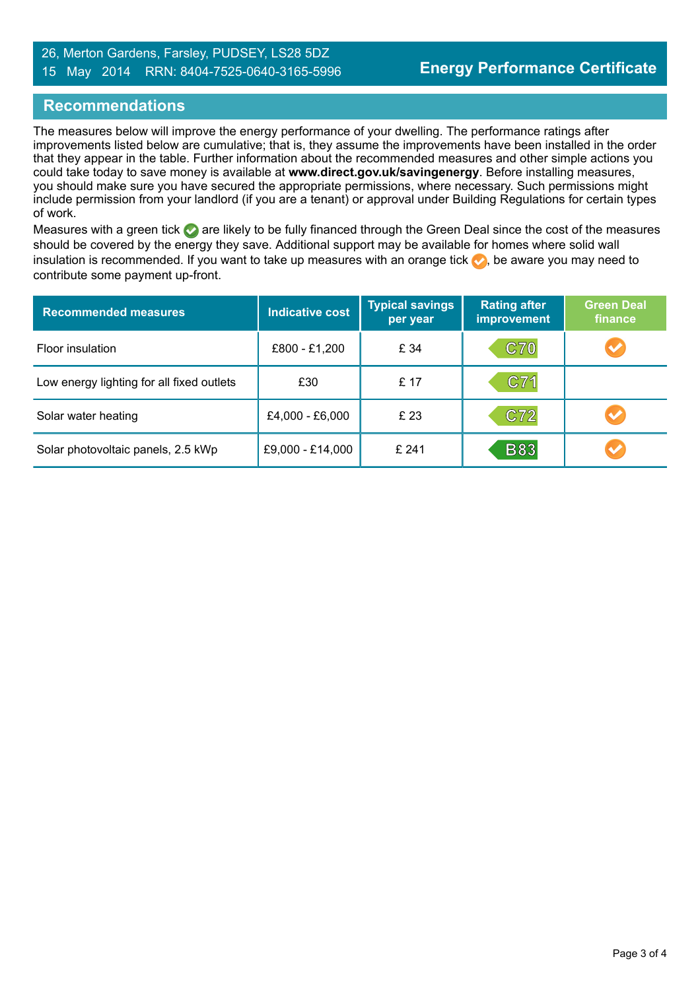#### 26, Merton Gardens, Farsley, PUDSEY, LS28 5DZ 15 May 2014 RRN: 8404-7525-0640-3165-5996

## **Recommendations**

The measures below will improve the energy performance of your dwelling. The performance ratings after improvements listed below are cumulative; that is, they assume the improvements have been installed in the order that they appear in the table. Further information about the recommended measures and other simple actions you could take today to save money is available at **www.direct.gov.uk/savingenergy**. Before installing measures, you should make sure you have secured the appropriate permissions, where necessary. Such permissions might include permission from your landlord (if you are a tenant) or approval under Building Regulations for certain types of work.

Measures with a green tick are likely to be fully financed through the Green Deal since the cost of the measures should be covered by the energy they save. Additional support may be available for homes where solid wall insulation is recommended. If you want to take up measures with an orange tick  $\blacklozenge$ , be aware you may need to contribute some payment up-front.

| <b>Recommended measures</b>               | <b>Indicative cost</b> | <b>Typical savings</b><br>per year | <b>Rating after</b><br><b>improvement</b> | <b>Green Deal</b><br>finance |
|-------------------------------------------|------------------------|------------------------------------|-------------------------------------------|------------------------------|
| Floor insulation                          | £800 - £1,200          | £ 34                               | <b>C70</b>                                |                              |
| Low energy lighting for all fixed outlets | £30                    | £ 17                               | C71                                       |                              |
| Solar water heating                       | £4,000 - £6,000        | £ 23                               | C72                                       |                              |
| Solar photovoltaic panels, 2.5 kWp        | £9,000 - £14,000       | £241                               | <b>B83</b>                                |                              |